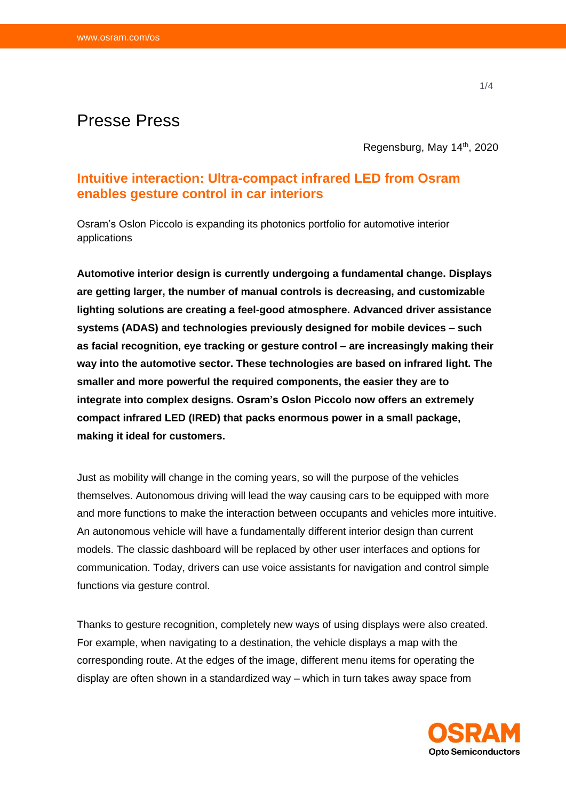# Presse Press

Regensburg, May 14th, 2020

## **Intuitive interaction: Ultra-compact infrared LED from Osram enables gesture control in car interiors**

Osram's Oslon Piccolo is expanding its photonics portfolio for automotive interior applications

**Automotive interior design is currently undergoing a fundamental change. Displays are getting larger, the number of manual controls is decreasing, and customizable lighting solutions are creating a feel-good atmosphere. Advanced driver assistance systems (ADAS) and technologies previously designed for mobile devices – such as facial recognition, eye tracking or gesture control – are increasingly making their way into the automotive sector. These technologies are based on infrared light. The smaller and more powerful the required components, the easier they are to integrate into complex designs. Osram's Oslon Piccolo now offers an extremely compact infrared LED (IRED) that packs enormous power in a small package, making it ideal for customers.**

Just as mobility will change in the coming years, so will the purpose of the vehicles themselves. Autonomous driving will lead the way causing cars to be equipped with more and more functions to make the interaction between occupants and vehicles more intuitive. An autonomous vehicle will have a fundamentally different interior design than current models. The classic dashboard will be replaced by other user interfaces and options for communication. Today, drivers can use voice assistants for navigation and control simple functions via gesture control.

Thanks to gesture recognition, completely new ways of using displays were also created. For example, when navigating to a destination, the vehicle displays a map with the corresponding route. At the edges of the image, different menu items for operating the display are often shown in a standardized way – which in turn takes away space from

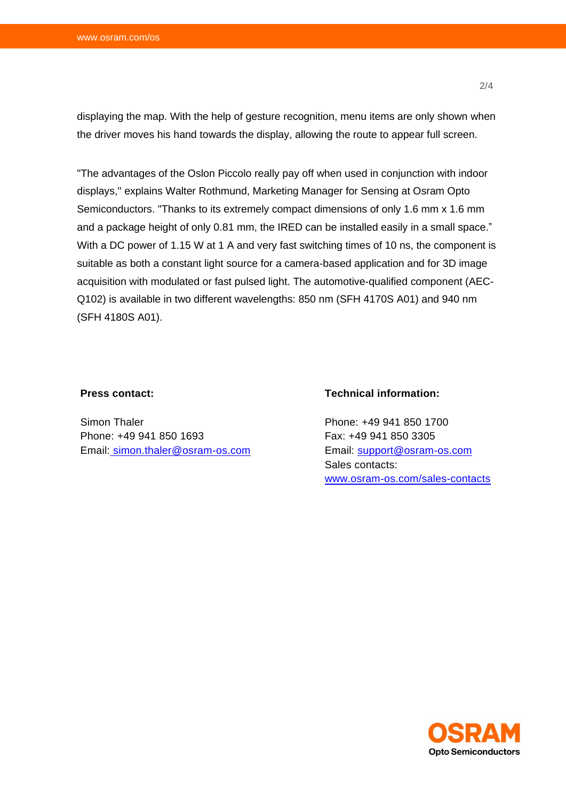displaying the map. With the help of gesture recognition, menu items are only shown when the driver moves his hand towards the display, allowing the route to appear full screen.

"The advantages of the Oslon Piccolo really pay off when used in conjunction with indoor displays," explains Walter Rothmund, Marketing Manager for Sensing at Osram Opto Semiconductors. "Thanks to its extremely compact dimensions of only 1.6 mm x 1.6 mm and a package height of only 0.81 mm, the IRED can be installed easily in a small space." With a DC power of 1.15 W at 1 A and very fast switching times of 10 ns, the component is suitable as both a constant light source for a camera-based application and for 3D image acquisition with modulated or fast pulsed light. The automotive-qualified component (AEC-Q102) is available in two different wavelengths: 850 nm (SFH 4170S A01) and 940 nm (SFH 4180S A01).

#### **Press contact:**

Simon Thaler Phone: +49 941 850 1693 Email: [simon.thaler@osram-os.com](mailto:simon.thaler@osram-os.com)

### **Technical information:**

Phone: +49 941 850 1700 Fax: +49 941 850 3305 Email: [support@osram-os.com](mailto:support@osram-os.com) Sales contacts: [www.osram-os.com/sales-contacts](http://www.osram-os.com/sales-contacts)



**Opto Semiconductors**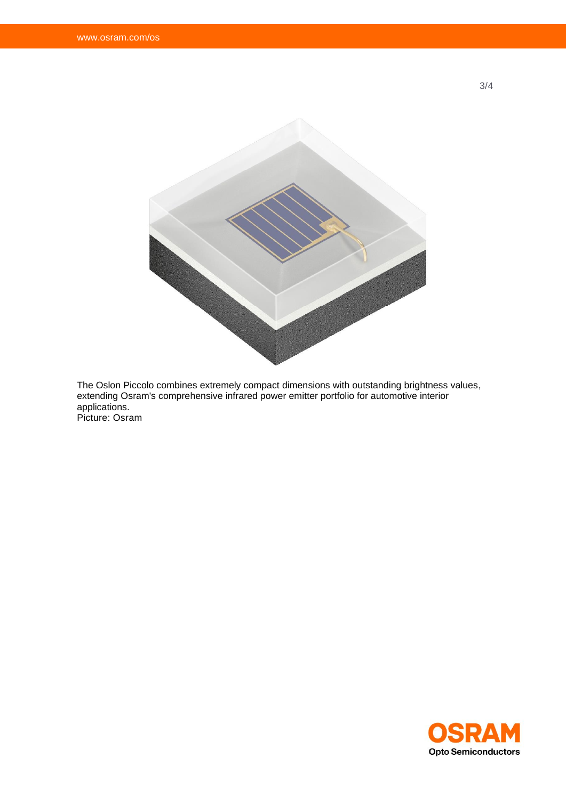

The Oslon Piccolo combines extremely compact dimensions with outstanding brightness values, extending Osram's comprehensive infrared power emitter portfolio for automotive interior applications. Picture: Osram